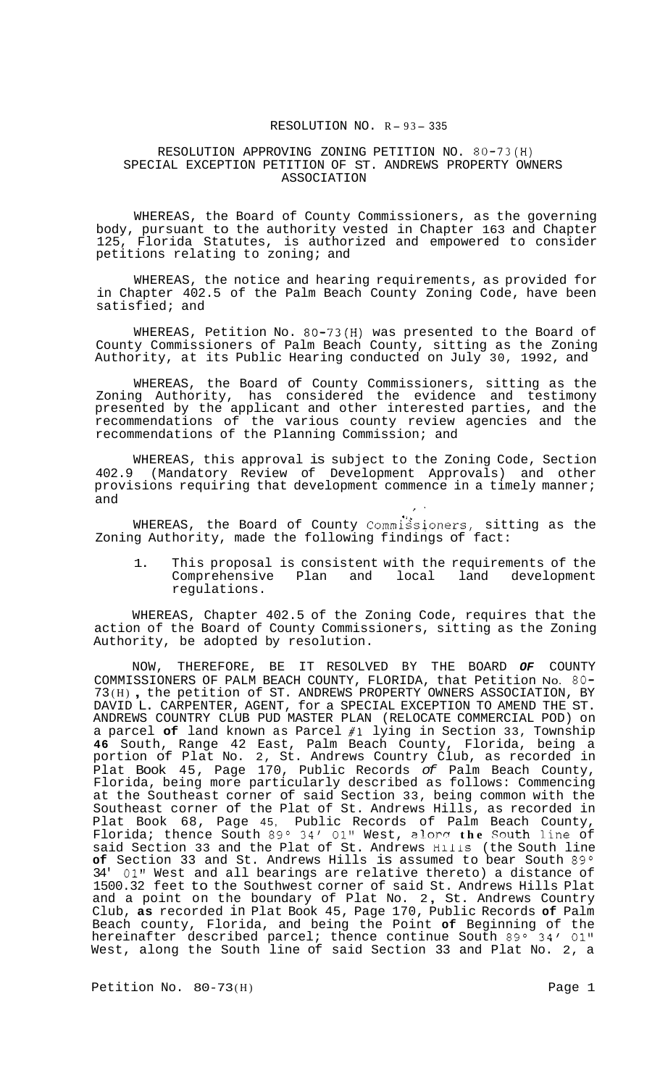# RESOLUTION NO. R-93-335

# RESOLUTION APPROVING ZONING PETITION NO. 80-73(H) SPECIAL EXCEPTION PETITION OF ST. ANDREWS PROPERTY OWNERS ASSOCIATION

WHEREAS, the Board of County Commissioners, as the governing body, pursuant to the authority vested in Chapter 163 and Chapter Florida Statutes, is authorized and empowered to consider petitions relating to zoning; and

WHEREAS, the notice and hearing requirements, as provided for in Chapter 402.5 of the Palm Beach County Zoning Code, have been satisfied; and

WHEREAS, Petition No. 80-73(H) was presented to the Board of County Commissioners of Palm Beach County, sitting as the Zoning Authority, at its Public Hearing conducted on July 30, 1992, and

WHEREAS, the Board of County Commissioners, sitting as the Zoning Authority, has considered the evidence and testimony presented by the applicant and other interested parties, and the recommendations of the various county review agencies and the recommendations of the Planning Commission; and

WHEREAS, this approval is subject to the Zoning Code, Section 402.9 (Mandatory Review of Development Approvals) and other provisions requiring that development commence in a timely manner;<br>and and ,,

WHEREAS, the Board of County Commissioners, sitting as the Zoning Authority, made the following findings of fact:

1. This proposal is consistent with the requirements of the Comprehensive Plan and local land development regulations.

WHEREAS, Chapter 402.5 of the Zoning Code, requires that the action of the Board of County Commissioners, sitting as the Zoning Authority, be adopted by resolution.

NOW, THEREFORE, BE IT RESOLVED BY THE BOARD *OF* COUNTY COMMISSIONERS OF PALM BEACH COUNTY, FLORIDA, that Petition No. 80- <sup>73</sup>(H) , the petition of ST. ANDREWS PROPERTY OWNERS ASSOCIATION, BY DAVID L. CARPENTER, AGENT, for a SPECIAL EXCEPTION TO AMEND THE ST. ANDREWS COUNTRY CLUB PUD MASTER PLAN (RELOCATE COMMERCIAL POD) on a parcel **of** land known as Parcel **#1** lying in Section 33, Township **46** South, Range 42 East, Palm Beach County, Florida, being a portion of Plat No. 2, St. Andrews Country Club, as recorded in Plat Book 45, Page 170, Public Records *of* Palm Beach County, Florida, being more particularly described as follows: Commencing at the Southeast corner of said Section 33, being common with the Southeast corner of the Plat of St. Andrews Hills, as recorded in Plat Book 68, Page 45, Public Records of Palm Beach County, Florida; thence South 89° 34' 01" West, alorg the South line of said Section 33 and the Plat of St. Andrews **HlllS** (the South line of Section 33 and St. Andrews Hills is assumed to bear South 89° 34' 01" West and all bearings are relative thereto) a distance of 1500.32 feet to the Southwest corner of said St. Andrews Hills Plat 1500.32 feet to the Southwest corner of said St. Andrews Hills Plat<br>and a point on the boundary of Plat No. 2, St. Andrews Country Club, **as** recorded in Plat Book 45, Page 170, Public Records **of** Palm Beach county, Florida, and being the Point **of** Beginning of the hereinafter described parcel; thence continue South 89° 34′ 01" West, along the South line of said Section 33 and Plat No. 2, a

Petition No. 80-73(H) Petition No. 80-73(H)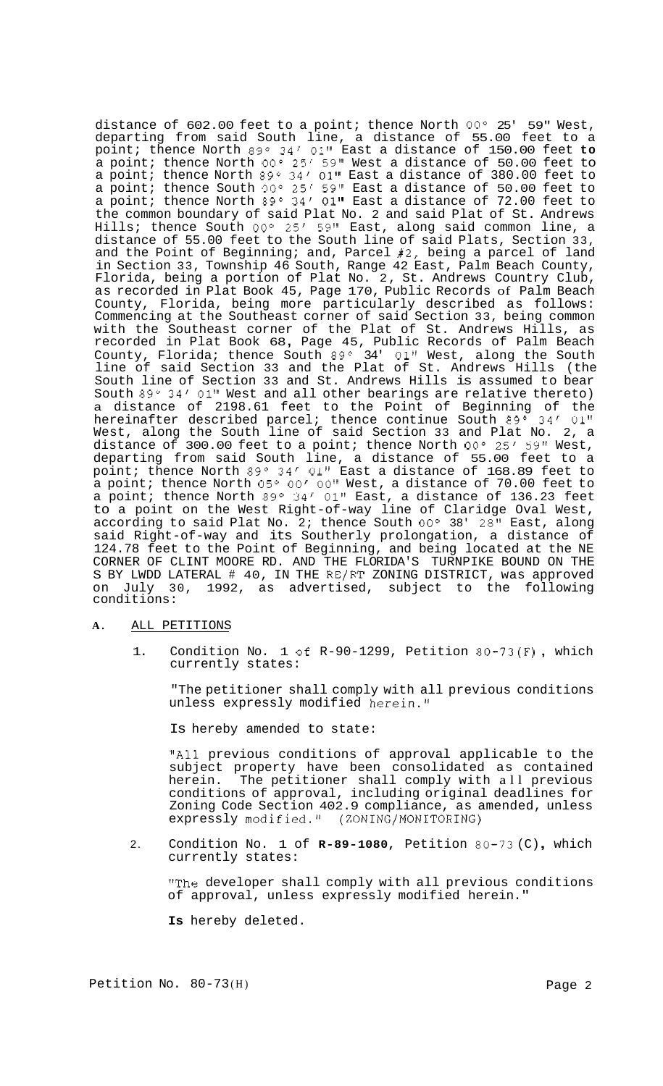distance of 602.00 feet to a point; thence North *OOo* 25' 59" West, departing from said South line, a distance of 55.00 feet to a point; thence North 89° 34′ 01" East a distance of 150.00 feet **to** a point; thence North **OOo** 25' 59" West a distance of 50.00 feet to a point; thence North 89° 34' 01" East a distance of 380.00 feet to a point; thence South **OOo** 25' 59" East a distance of 50.00 feet to a point; thence North 89° 34′ 01" East a distance of 72.00 feet to the common boundary of said Plat No. 2 and said Plat of St. Andrews Hills; thence South *OOo* 25' 59" East, along said common line, a distance of 55.00 feet to the South line of said Plats, Section 33, and the Point of Beginning; and, Parcel #2, being a parcel of land in Section 33, Township 46 South, Range 42 East, Palm Beach County, Florida, being a portion of Plat No. 2, St. Andrews Country Club, as recorded in Plat Book 45, Page 170, Public Records of Palm Beach County, Florida, being more particularly described as follows: Commencing at the Southeast corner of said Section 33, being common with the Southeast corner of the Plat of St. Andrews Hills, as with the Southeast corner of the Plat of St. Andrews Hills, as<br>recorded in Plat Book 68, Page 45, Public Records of Palm Beach County, Florida; thence South  $89^{\circ}$  34' 01" West, along the South line of said Section 33 and the Plat of St. Andrews Hills (the South line of Section 33 and St. Andrews Hills is assumed to bear South 89 $^{\circ}$  34' 01" West and all other bearings are relative thereto) a distance of 2198.61 feet to the Point of Beginning of the hereinafter described parcel; thence continue South 89° 34′ 01" West, along the South line of said Section 33 and Plat No. 2, a distance of 300.00 feet to a point; thence North *OOo* 25' 59" West, departing from said South line, a distance of 55.00 feet to a point; thence North 89° 34′ 01" East a distance of 168.89 feet to a point; thence North 05° 00' 00" West, a distance of 70.00 feet to a point; thence North *89O* 34' **01"** East, a distance of 136.23 feet to a point on the West Right-of-way line of Claridge Oval West, according to said Plat No. 2; thence South *OOo* 38' 28" East, along said Right-of-way and its Southerly prolongation, a distance of 124.78 feet to the Point of Beginning, and being located at the NE CORNER OF CLINT MOORE RD. AND THE FLORIDA'S TURNPIKE BOUND ON THE S BY LWDD LATERAL # 40, IN THE RE/RT ZONING DISTRICT, was approved on July 30, 1992, as advertised, subject to the following conditions:

### **A.** ALL PETITIONS

1. Condition No. 1 **of** R-90-1299, Petition 80-73(F) , which currently states:

"The petitioner shall comply with all previous conditions unless expressly modified herein."

Is hereby amended to state:

"All previous conditions of approval applicable to the subject property have been consolidated as contained herein. The petitioner shall comply with all previous conditions of approval, including original deadlines for Zoning Code Section 402.9 compliance, as amended, unless expressly modified." (ZONING/MONITORING)

2. Condition No. 1 of **R-89-1080,** Petition 80-73 (C) , which currently states:

"The developer shall comply with all previous conditions of approval, unless expressly modified herein."

**Is** hereby deleted.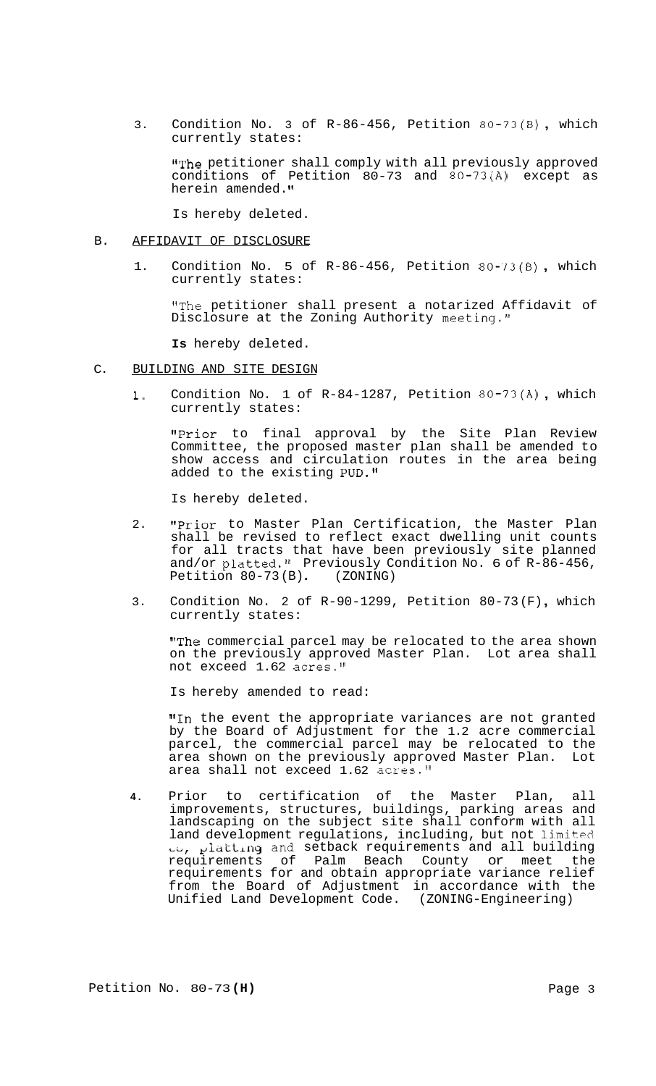3. Condition No. 3 of R-86-456, Petition 80-73(B) , which currently states:

"The petitioner shall comply with all previously approved conditions of Petition 80-73 and 80-73(A) except as herein amended.

Is hereby deleted.

#### B. AFFIDAVIT OF DISCLOSURE

1. Condition No. 5 of R-86-456, Petition 80-73(B) , which currently states:

"The petitioner shall present a notarized Affidavit of Disclosure at the Zoning Authority meeting."

**Is** hereby deleted.

- C. BUILDING AND SITE DESIGN
	- 1. Condition No. 1 of R-84-1287, Petition 80-73(A) , which currently states:

"Prior to final approval by the Site Plan Review Committee, the proposed master plan shall be amended to show access and circulation routes in the area being added to the existing PUD."

Is hereby deleted.

- 2. **"Prior** to Master Plan Certification, the Master Plan shall be revised to reflect exact dwelling unit counts for all tracts that have been previously site planned and/or platted." Previously Condition No. 6 of R-86-456, Petition 80-73 (B) . (ZONING)
- 3. Condition No. 2 of R-90-1299, Petition 80-73 (F), which currently states:

"The commercial parcel may be relocated to the area shown on the previously approved Master Plan. Lot area shall not exceed 1.62 acres."

Is hereby amended to read:

"In the event the appropriate variances are not granted by the Board of Adjustment for the 1.2 acre commercial parcel, the commercial parcel may be relocated to the area shown on the previously approved Master Plan. Lot area shall not exceed 1.62 acres."

**4.** Prior to certification of the Master Plan, all improvements, structures, buildings, parking areas and landscaping on the subject site shall conform with all land development regulations, including, but not limited **L~,** pi&ttL.ng and setback requirements and all building requirements of Palm Beach County or meet the requirements for and obtain appropriate variance relief from the Board of Adjustment in accordance with the Unified Land Development Code. (ZONING-Engineering)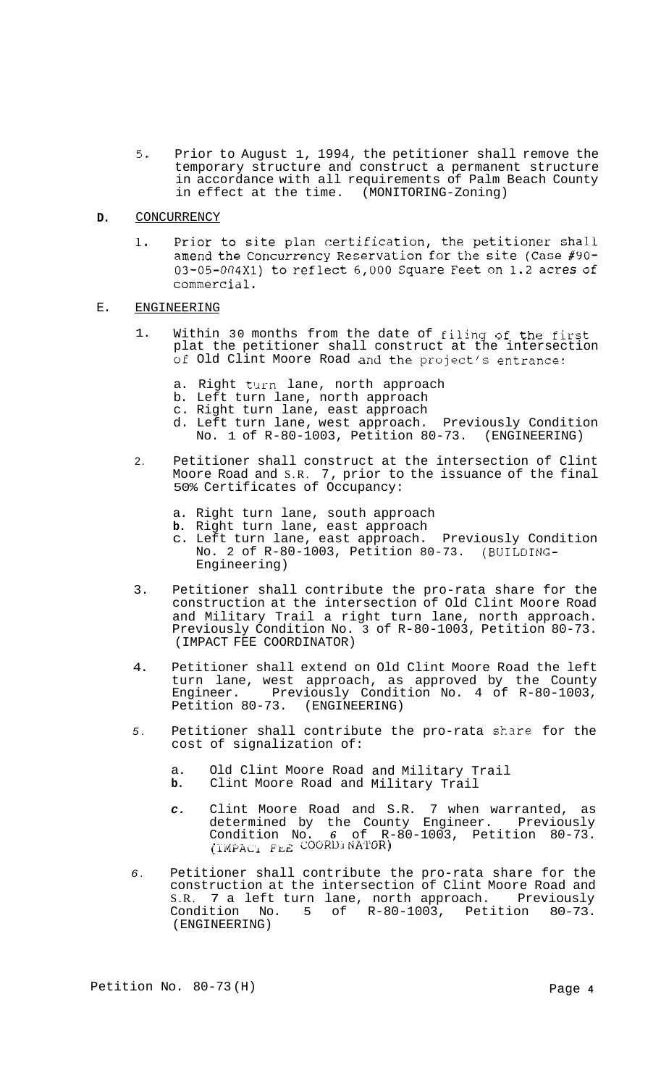- *5.* Prior to August 1, 1994, the petitioner shall remove the temporary structure and construct a permanent structure in accordance with all requirements of Palm Beach County in effect at the time. (MONITORING-Zoning)
- **D.**  CONCURRENCY
	- Prior to site plan certification, the petitioner shall 1. amend the Concurrency Reservation for the site (Case #90-03-05-004X1) to reflect 6,000 Square Feet on 1.2 acres of commercial.
- E. ENGINEERING
	- 1. Within 30 months from the date of filing of the first plat the petitioner shall construct at the intersection Of Old Clint Moore Road and the project's entrance:
		- a. Right turn lane, north approach
		- b. Left turn lane, north approach
		- c. Right turn lane, east approach
		- d. Left turn lane, west approach. Previously Condition No. 1 of R-80-1003, Petition 80-73. (ENGINEERING)
	- 2. Petitioner shall construct at the intersection of Clint Moore Road and S.R. 7, prior to the issuance of the final 50% Certificates of Occupancy:
		- a. Right turn lane, south approach
		- **b.** Right turn lane, east approach
		- c. Left turn lane, east approach. Previously Condition No. 2 of R-80-1003, Petition 80-73. (BUILDING-Engineering)
	- 3. Petitioner shall contribute the pro-rata share for the construction at the intersection of Old Clint Moore Road and Military Trail a right turn lane, north approach. Previously Condition No. 3 of R-80-1003, Petition 80-73. (IMPACT FEE COORDINATOR)
	- 4. Petitioner shall extend on Old Clint Moore Road the left turn lane, west approach, as approved by the County Engineer. Previously Condition No. 4 of R-80-1003, Petition 80-73. (ENGINEERING)
	- *5.*  Petitioner shall contribute the pro-rata share for the cost of signalization of:
		- a. Old Clint Moore Road and Military Trail
		- **b.** Clint Moore Road and Military Trail
		- *c.* Clint Moore Road and S.R. 7 when warranted, as determined by the County Engineer. Previously Condition No. *6* of R-80-1003, Petition 80-73.  $\overline{I}$ IMPAC<sub>1</sub> FLE COORDINATOR)
	- *6.*  Petitioner shall contribute the pro-rata share for the construction at the intersection of Clint Moore Road and S.R. 7 a left turn lane, north approach. Previously Condition No. 5 of R-80-1003, Petition 80-73. (ENGINEERING)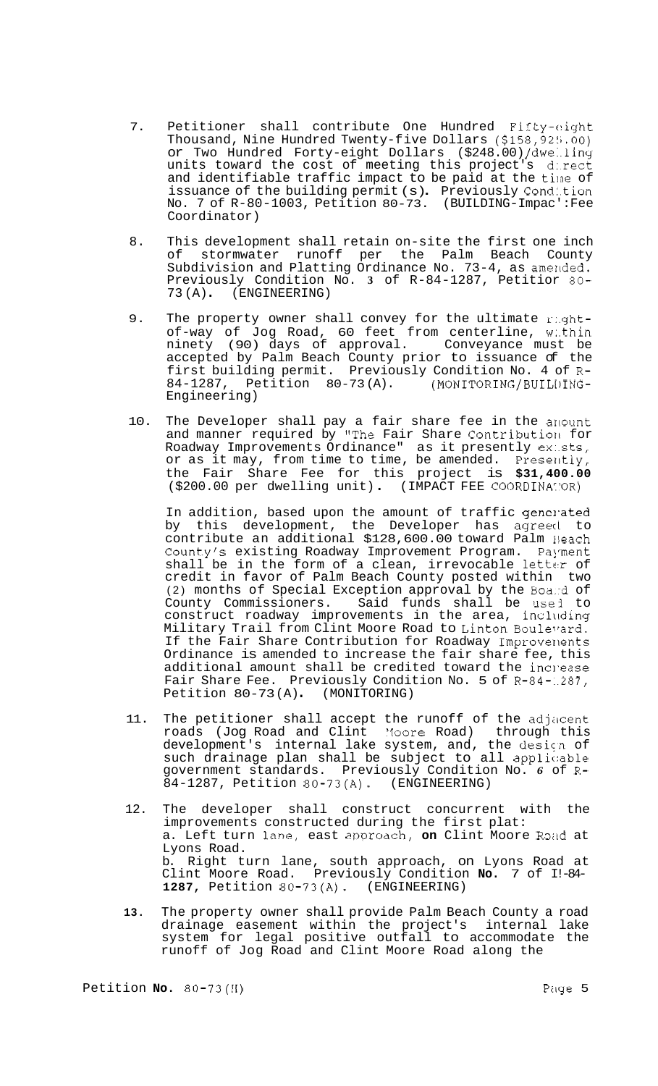- 7. Petitioner shall contribute One Hundred Fifty-eight Thousand, Nine Hundred Twenty-five Dollars  $(158, 925, 00)$ or Two Hundred Forty-eight Dollars (\$248.00) /dwe:.ling units toward the cost of meeting this project's d:.rect and identifiable traffic impact to be paid at the time of issuance of the building permit (s). Previously Condition No. 7 of R-80-1003, Petition 80-73. (BUILDING-Impac': Fee Coordinator)
- 8. This development shall retain on-site the first one inch of stormwater runoff per the Palm Beach County Subdivision and Platting Ordinance No. 73-4, as amerlded. Previously Condition No. **3** of R-84-1287, Petitior *80-*  73(A) (ENGINEERING)
- 9. The property owner shall convey for the ultimate r:.ghtof-way of Jog Road, 60 feet from centerline, w:.thin ninety (90) days of approval. Conveyance must be accepted by Palm Beach County prior to issuance of the first building permit. Previously Condition No. 4 of R-<br>84-1287, Petition 80-73(A). (MONITORING/BUILUING-84-1287, Petition 80-73(A). Engineering)
- 10. The Developer shall pay a fair share fee in the arlount and manner required by "The Fair Share Contribution for Roadway Improvements Ordinance" as it presently ex:.sts, or as it may, from time to time, be amended. Presently, the Fair Share Fee for this project is **\$31,400.00**  (\$200.00 per dwelling unit) . (IMPACT FEE COORD1NA':'OR)

In addition, based upon the amount of traffic generated by this development, the Developer has agreed to contribute an additional \$128,600.00 toward Palm Neach County's existing Roadway Improvement Program. Payment shall be in the form of a clean, irrevocable letter of credit in favor of Palm Beach County posted within two (2) months of Special Exception approval by the Boa::d of County Commissioners. Said funds shall be usej to construct roadway improvements in the area, including Military Trail from Clint Moore Road to Linton Boulevard. If the Fair Share Contribution for Roadway Improverlents Ordinance is amended to increase the fair share fee, this additional amount shall be credited toward the inclease Fair Share Fee. Previously Condition No. 5 of R-84-1287,<br>Petition 80-73(A) (MONITORING) Petition  $80-73(A)$ .

- 11. The petitioner shall accept the runoff of the adjacent roads (Jog Road and Clint Yoore Road) through this development's internal lake system, and, the desicn of such drainage plan shall be subject to all applicable government standards. Previously Condition No. *6* of R-84-1287, Petition 80-73(A). (ENGINEERING)
- 12. The developer shall construct concurrent with the improvements constructed during the first plat: a. Left turn lane, east approach, on Clint Moore Road at Lyons Road. b. Right turn lane, south approach, on Lyons Road at Clint Moore Road. Previously Condition **No.** 7 of I!-84- **1287,** Petition 80-73(A). (ENGINEERING)
- **13.**  The property owner shall provide Palm Beach County a road drainage easement within the project's internal lake system for legal positive outfall to accommodate the runoff of Jog Road and Clint Moore Road along the

Petition **No.** 80-73(H) *Pilge* 5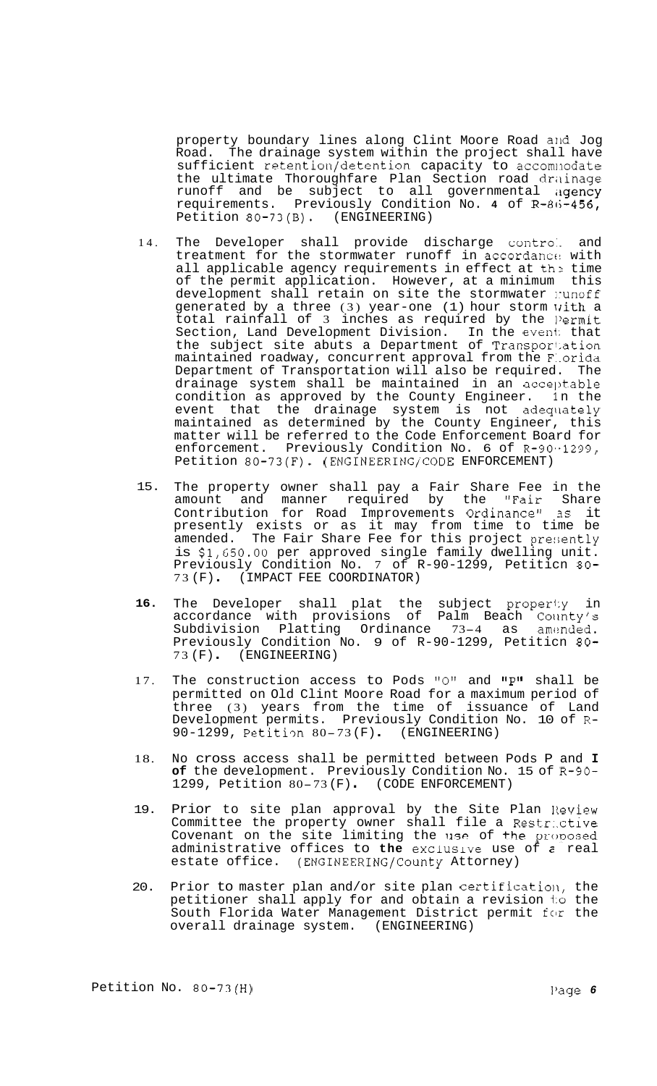property boundary lines along Clint Moore Road arld Jog Road. The drainage system within the project shall have sufficient retention/detention capacity to accomlnodate the ultimate Thoroughfare Plan Section road drainage runoff and be subject to all governmental a**gency** requirements. Previously Condition No. **4** of R-8(i-456, Petition 80-73(B). (ENGINEERING)

- 14. The Developer shall provide discharge contro:. and treatment for the stormwater runoff in accordance with all applicable agency requirements in effect at th'? time of the permit application. However, at a minimum this development shall retain on site the stormwater :: unoff generated by a three (3) year-one (1) hour storm with a total rainfall of 3 inches as required by the l'ermit Section, Land Development Division. In the event that the subject site abuts a Department of Transpor1:ation maintained roadway, concurrent approval from the F:.orida Department of Transportation will also be required. The drainage system shall be maintained in an acceptable condition as approved by the County Engineer. 1n the event that the drainage system is not adequately maintained as determined by the County Engineer, this matter will be referred to the Code Enforcement Board for enforcement. Previously Condition No. 6 of R-90.-1299, Petition 80-73(F). (ENGINEERING/CODE ENFORCEMENT)
- 15. The property owner shall pay a Fair Share Fee in the amount and manner required by the "Fair Share Contribution for Road Improvements Ordinancell *3s* it presently exists or as it may from time to time be amended. The Fair Share Fee for this project presently is  $$1,650.00$  per approved single family dwelling unit. Previously Condition No. 7 of R-90-1299, Petiticn 80- <sup>73</sup>(F) . (IMPACT FEE COORDINATOR)
- **16.**  The Developer shall plat the subject proper1:y in accordance with provisions of Palm Beach County's<br>Subdivision Platting Ordinance 73–4 as amended. Previously Condition No. 9 of R-90-1299, Petiticn 80-<br>73(F). (ENGINEERING)
- 17. The construction access to Pods "0" and "P" shall be permitted on Old Clint Moore Road for a maximum period of three (3) years from the time of issuance of Land Development permits. Previously Condition No. 10 of R-90-1299, Petitiqn 80-73 (F) . (ENGINEERING)
- 18. No cross access shall be permitted between Pods P and **I of** the development. Previously Condition No. 15 of R-90- 1299, Petition 80-73 (F) (CODE ENFORCEMENT)
- 19. Prior to site plan approval by the Site Plan Review Committee the property owner shall file a Restr:.ctive Covenant on the site limiting the use of the proposed administrative offices to **the** exclusive use of **2** real estate office. (ENGINEERING/County Attorney)
- 20. Prior to master plan and/or site plan certification, the petitioner shall apply for and obtain a revision 1:o the South Florida Water Management District permit for the overall drainage system. (ENGINEERING)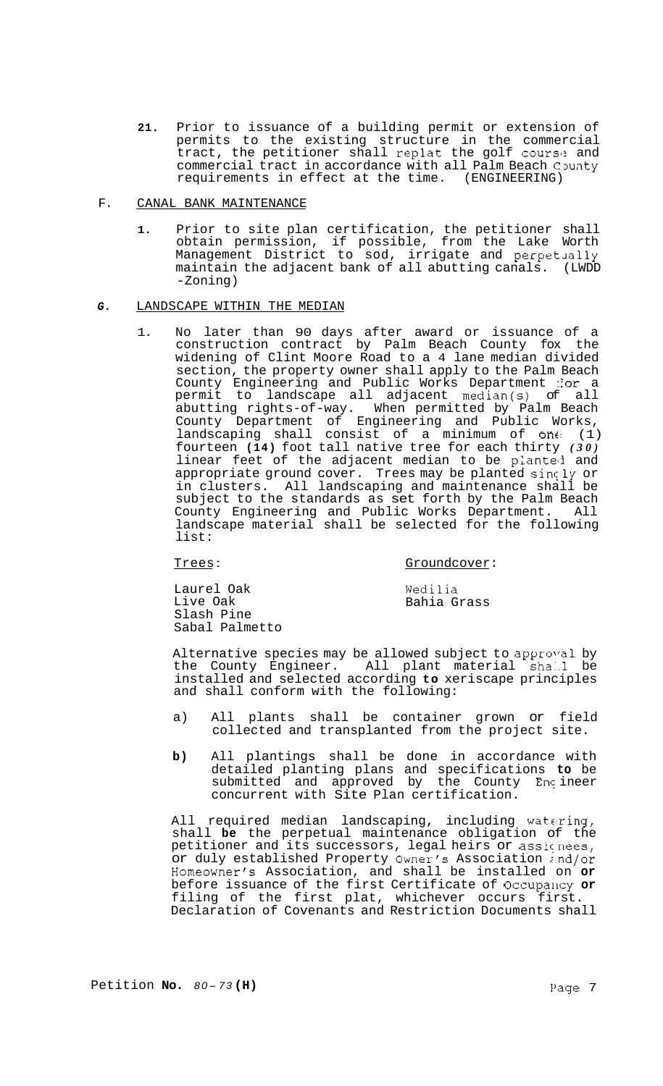**21.** Prior to issuance of a building permit or extension of permits to the existing structure in the commercial tract, the petitioner shall replat the golf course and commercial tract in accordance with all Palm Beach County requirements in effect at the time. (ENGINEERING)

# F. CANAL BANK MAINTENANCE

**1.** Prior to site plan certification, the petitioner shall obtain permission, if possible, from the Lake Worth Management District to sod, irrigate and perpetually maintain the adjacent bank of all abutting canals. (LWDD -Zoning)

# *G.* LANDSCAPE WITHIN THE MEDIAN

1. No later than 90 days after award or issuance of a construction contract by Palm Beach County fox the widening of Clint Moore Road to a 4 lane median divided section, the property owner shall apply to the Palm Beach County Engineering and Public Works Department ::or a permit to landscape all adjacent median(s) of all abutting rights-of-way. When permitted by Palm Beach County Department of Engineering and Public Works, landscaping shall consist of a minimum of one: (1) fourteen **(14)** foot tall native tree for each thirty *(30)*  linear feet of the adjacent median to be planted and appropriate ground cover. Trees may be planted singly or in clusters. All landscaping and maintenance shall be subject to the standards as set forth by the Palm Beach County Engineering and Public Works Department. All landscape material shall be selected for the following list:

# Trees: Groundcover:

Laurel Oak Live Oak Slash Pine Sabal Palmetto Wedilia Bahia Grass

Alternative species may be allowed subject to approval by the County Engineer. All plant material sha:.l be installed and selected according **to** xeriscape principles and shall conform with the following:

- a) All plants shall be container grown or field collected and transplanted from the project site.
- **b)** All plantings shall be done in accordance with detailed planting plans and specifications **to** be submitted and approved by the County Engineer concurrent with Site Plan certification.

All required median landscaping, including watering, shall **be** the perpetual maintenance obligation of the petitioner and its successors, legal heirs or assicnees, or duly established Property Owner's Association z.nd/or Homeowner's Association, and shall be installed on **or**  before issuance of the first Certificate of Occupancy or filing of the first plat, whichever occurs first. Declaration of Covenants and Restriction Documents shall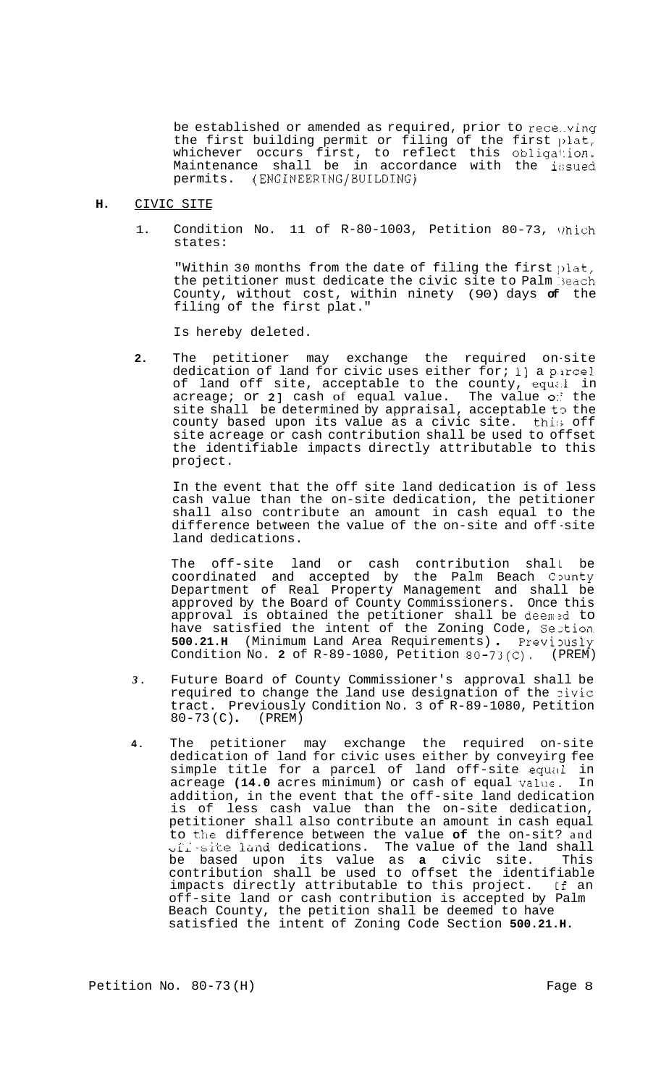be established or amended as required, prior to rece..ving the first building permit or filing of the first  $\mathfrak{p}\textup{lat},$ whichever occurs first, to reflect this obliga1:ion. Maintenance shall be in accordance with the i:;sued permits. (ENGINEERING/BUILDING)

#### **H.**  CIVIC SITE

1. Condition No. 11 of  $R-80-1003$ , Petition 80-73, Which states:

"Within 30 months from the date of filing the first  $\text{plat},$ the petitioner must dedicate the civic site to Palm Beach County, without cost, within ninety (90) days **of** the filing of the first plat."

Is hereby deleted.

**2.** The petitioner may exchange the required on-site dedication of land for civic uses either for; 1] a parcel of land off site, acceptable to the county, equal in acreage; or **21** cash of equal value. The value *0::* the site shall be determined by appraisal, acceptable t3 the county based upon its value as a civic site. thi:; off site acreage or cash contribution shall be used to offset the identifiable impacts directly attributable to this project.

In the event that the off site land dedication is of less cash value than the on-site dedication, the petitioner shall also contribute an amount in cash equal to the difference between the value of the on-site and off -site land dedications.

The off-site land or cash contribution shall be coordinated and accepted by the Palm Beach County Department of Real Property Management and shall be approved by the Board of County Commissioners. Once this approval is obtained the petitioner shall be deem?d to have satisfied the intent of the Zoning Code, Seztion **500.21.H** (Minimum Land Area Requirements) . Previously Condition No. 2 of R-89-1080, Petition 80-73(C), (PREM) Condition No. 2 of R-89-1080, Petition 80-73(C).

- *3.* Future Board of County Commissioner's approval shall be required to change the land use designation of the zivic tract. Previously Condition No. 3 of R-89-1080, Petition 80-73 (C) . (PREM)
- **4.** The petitioner may exchange the required on-site dedication of land for civic uses either by conveyirg fee simple title for a parcel of land off-site equal in acreage **(14.0** acres minimum) or cash of equal value. In addition, in the event that the off-site land dedication is of less cash value than the on-site dedication, petitioner shall also contribute an amount in cash equal to the difference between the value of the on-sit? and u~~ .site *lhm3* dedications. The value of the land shall be based upon its value as **a** civic site. This contribution shall be used to offset the identifiable impacts directly attributable to this project. If an off-site land or cash contribution is accepted by Palm Beach County, the petition shall be deemed to have satisfied the intent of Zoning Code Section **500.21.H.**   $\frac{1}{\gamma}$ .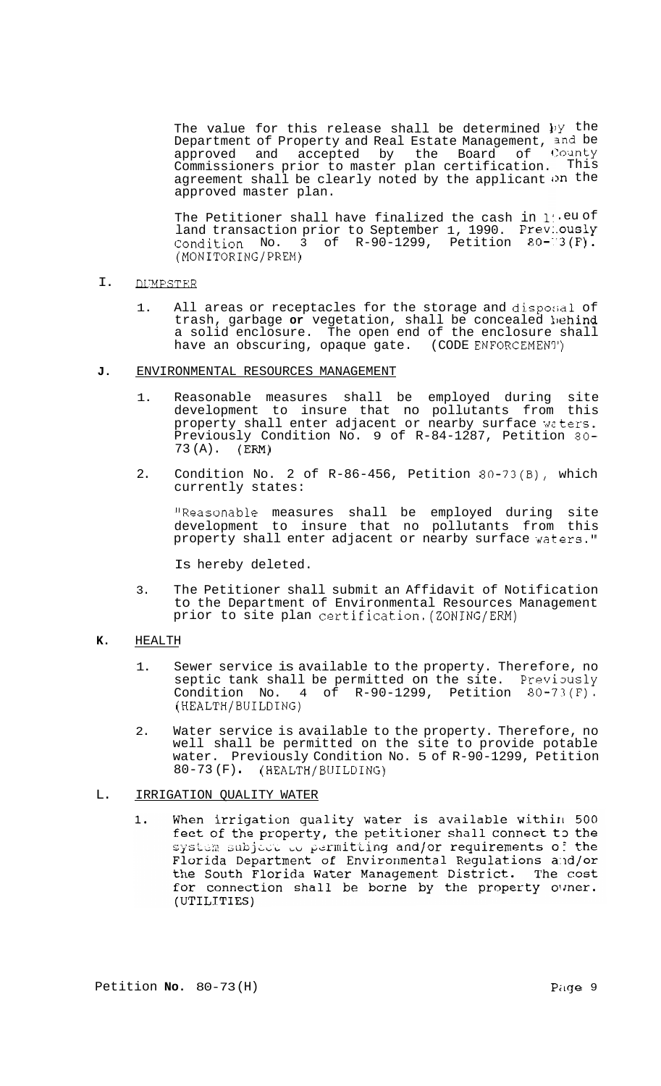The value for this release shall be determined **<sup>1</sup>** )y the Department of Property and Real Estate Management, approved and accepted by the Board of Commissioners prior to master plan certification. agreement shall be clearly noted by the applicant on the approved master plan. 3nd be County This

The Petitioner shall have finalized the cash in li.eu of land transaction prior to September 1, 1990. Prev:.ouslY Condition No. 3 of  $R-90-1299$ , Petition  $80-13(F)$ . (MONITORING/PREM)

#### I. **DUMPSTER**

1. All areas or receptacles for the storage and disposal of trash, garbage or vegetation, shall be concealed behind a solid enclosure. The open end of the enclosure shall have an obscuring, opaque gate. (CODE ENFORCEMENY')

### **J.** ENVIRONMENTAL RESOURCES MANAGEMENT

- 1. Reasonable measures shall be employed during site development to insure that no pollutants from this property shall enter adjacent or nearby surface waters. Previously Condition No. 9 of R-84-1287, Petition 80-  $73 (A)$ . (ERM)
- 2. Condition No. 2 of R-86-456, Petition 80-73(B), which currently states:

"Reasonable measures shall be employed during site development to insure that no pollutants from this property shall enter adjacent or nearby surface waters."

Is hereby deleted.

3. The Petitioner shall submit an Affidavit of Notification to the Department of Environmental Resources Management prior to site plan certification.(ZONING/ERM)

# **K.** HEALTH

- 1. Sewer service is available to the property. Therefore, no septic tank shall be permitted on the site. Previously Condition No.  $4$  of R-90-1299, Petition 80-73(F). (HEALTH/BUILDING)
- 2. Water service is available to the property. Therefore, no well shall be permitted on the site to provide potable water. Previously Condition No. 5 of R-90-1299, Petition 80-73 (F) . (HEALTH/BUILDING)

# L. IRRIGATION QUALITY WATER

When irrigation quality water is available within 500  $1.$ feet of the property, the petitioner shall connect to the system subject to permitting and/or requirements of the Florida Department of Environmental Regulations and/or the South Florida Water Management District. The cost for connection shall be borne by the property owner. (UTILITIES)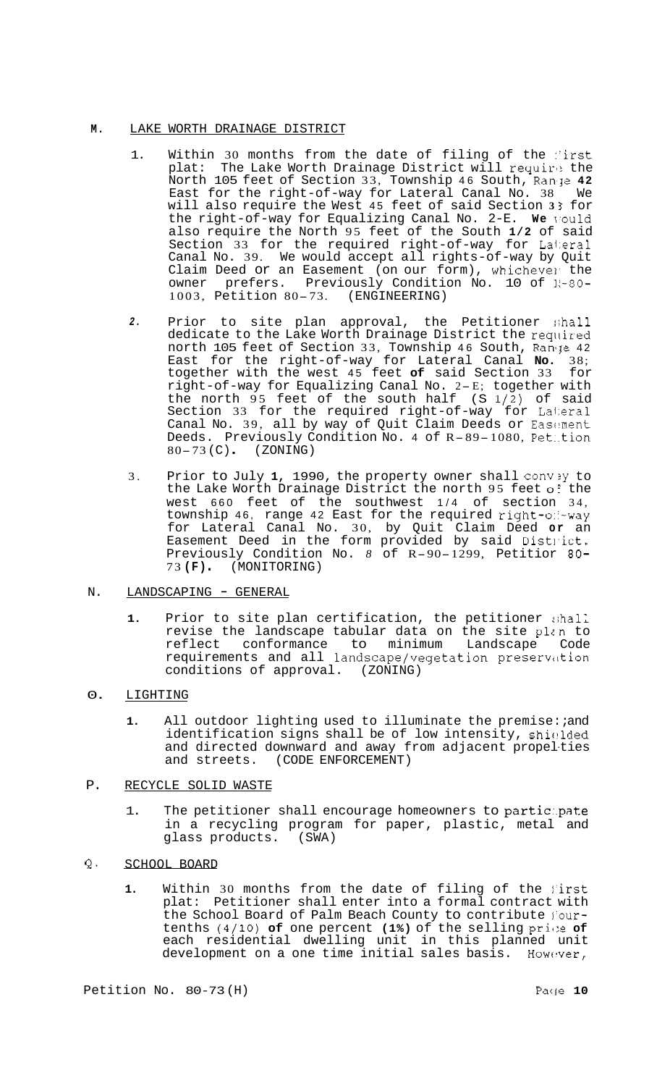### **M.** LAKE WORTH DRAINAGE DISTRICT

- 1. Within 30 months from the date of filing of the first plat: The Lake Worth Drainage District will require the North 105 feet of Section 33, Township 46 South, Ranje 42 East for the right-of-way for Lateral Canal No. 38 We will also require the West 45 feet of said Section **3** *5* for the right-of-way for Equalizing Canal No. 2-E. **We** \rould also require the North 95 feet of the South **1/2** of said Section 33 for the required right-of-way for Lalieral Canal No. 39. We would accept all rights-of-way by Quit Claim Deed or an Easement (on our form), whichevel the prefers. Previously Condition No. 10 of  $k-80$ owner prefers. Previously Condition 1003, Petition 80-73. (ENGINEERING)
- *2.* Prior to site plan approval, the Petitioner :;hall dedicate to the Lake Worth Drainage District the required north 105 feet of Section 33, Township 46 South, Range 42 East for the right-of-way for Lateral Canal **No.** 38; together with the west 45 feet **of** said Section 33 for right-of-way for Equalizing Canal No. 2-E; together with the north 95 feet of the south half (S **1/2)** of said Section 33 for the required right-of-way for Lateral Canal No. 39, all by way of Quit Claim Deeds or Easement<br>Deeds. Previously Condition No. 4 of R-89-1080, Pet tion Deeds. Previously Condition No. 4 of  $R-89-1080$ , Pettion  $80-73$  (C) (ZONING)
- 3. Prior to July 1, 1990, the property owner shall convey to the Lake Worth Drainage District the north 95 feet of the west 660 feet of the southwest 1/4 of section 34, township 46, range 42 East for the required right-of-way for Lateral Canal No. 30, by Quit Claim Deed **or** an Easement Deed in the form provided by said Distl-ict. Previously Condition No. *8* of R-90-1299, Petitior 80- <sup>73</sup>**(F)** . (MONITORING)

# N. LANDSCAPING - GENERAL

1. Prior to site plan certification, the petitioner shall revise the landscape tabular data on the site plan to reflect conformance to minimum Landscape Code requirements and all landscape/vegetation preserviltion conditions of approval. (ZONING)

# 0. LIGHTING

- 1. All outdoor lighting used to illuminate the premise: *and* identification signs shall be of low intensity, shielded and directed downward and away from adjacent propelties and streets. (CODE ENFORCEMENT)
- P. RECYCLE SOLID WASTE
	- 1. The petitioner shall encourage homeowners to participate in a recycling program for paper, plastic, metal and glass products. (SWA)
- **Q.** SCHOOL BOARD
	- 1. Within 30 months from the date of filing of the first plat: Petitioner shall enter into a formal contract with the School Board of Palm Beach County to contribute l'ourtenths (4/10) of one percent (1%) of the selling price of each residential dwelling unit in this planned unit development on a one time initial sales basis. However,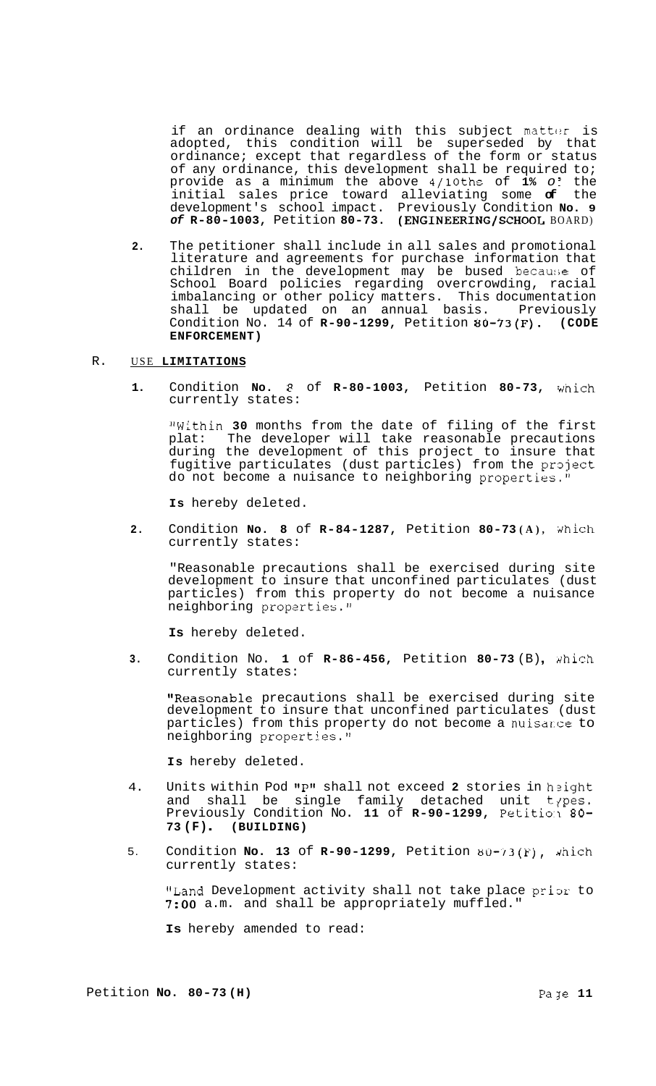if an ordinance dealing with this subject matter is adopted, this condition will be superseded by that ordinance; except that regardless of the form or status of any ordinance, this development shall be required to; provide as a minimum the above 4/10ths of **1%** *o* i the initial sales price toward alleviating some **of** the development's school impact. Previously Condition **No. 9**  *of* **R-80-1003,** Petition **80-73. (ENGINEERING/SCHOOL** BOARD)

**2.** The petitioner shall include in all sales and promotional literature and agreements for purchase information that children in the development may be bused becau:;e of School Board policies regarding overcrowding, racial imbalancing or other policy matters. This documentation shall be updated on an annual basis. Previously Condition No. 14 of **R-90-1299,** Petition **80-73(F). (CODE ENFORCEMENT)** 

#### R. USE **LIMITATIONS**

1. Condition **No.**  $\theta$  of **R-80-1003,** Petition 80-73, which currently states:

"Within **30** months from the date of filing of the first plat: The developer will take reasonable precautions during the development of this project to insure that fugitive particulates (dust particles) from the project do not become a nuisance to neighboring properties."

**Is** hereby deleted.

**2.** Condition **No. 8** of **R-84-1287,** Petition **80-73(A)**, which currently states:

"Reasonable precautions shall be exercised during site development to insure that unconfined particulates (dust particles) from this property do not become a nuisance neighboring properties."

**Is** hereby deleted.

**3.** Condition No. **1** of **R-86-456,** Petition 80-73 (B), which currently states:

"Reasonable precautions shall be exercised during site development to insure that unconfined particulates (dust particles) from this property do not become a nuisarce to neighboring properties."

**Is** hereby deleted.

- 4. Units within Pod "P" shall not exceed 2 stories in height and shall be single family detached unit t<sub>/</sub>pes. Previously Condition No. **11** of **R-90-1299,** Petitio'l *80-*  **73 (F)** . **(BUILDING)**
- 5. Condition **No. 13** of **R-90-1299,** Petition  $80-73(F)$ , which currently states:

"Land Development activity shall not take place prior to **7:OO** a.m. and shall be appropriately muffled."

**Is** hereby amended to read: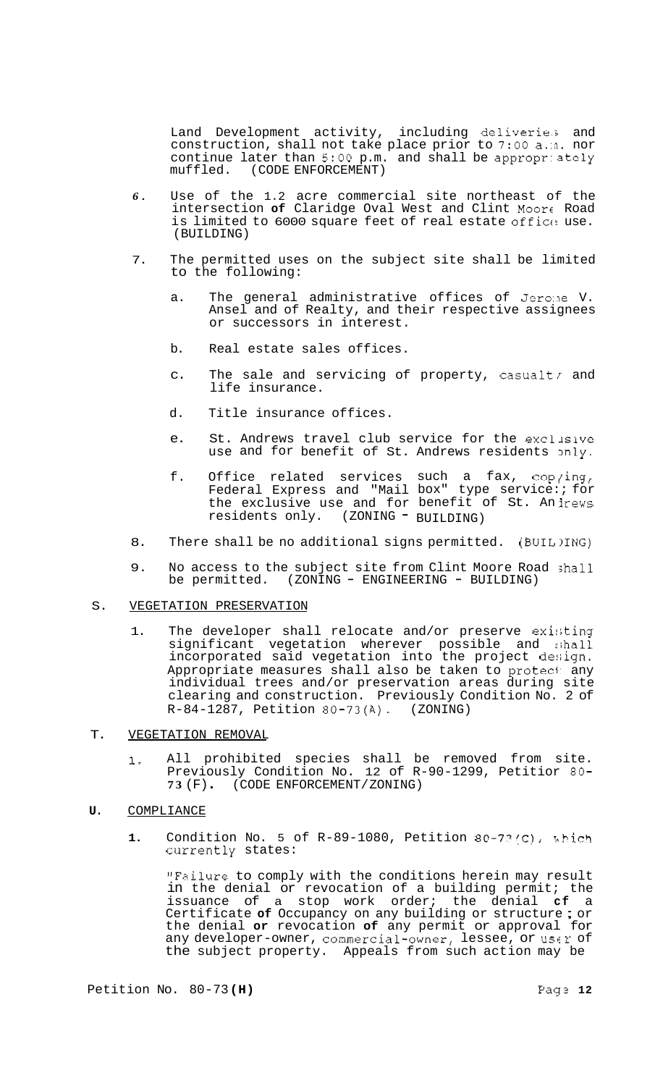Land Development activity, including deliverie.; and construction, shall not take place prior to 7:OO a.:n. nor continue later than 5:00 p.m. and shall be appropriately muffled. (CODE ENFORCEMENT) (CODE ENFORCEMENT)

- *6.* Use of the 1.2 acre commercial site northeast of the intersection **of** Claridge Oval West and Clint Moor€ Road is limited to 6000 square feet of real estate office use. (BUILDING)
- 7. The permitted uses on the subject site shall be limited to the following:
	- a. The general administrative offices of Jero:le V. Ansel and of Realty, and their respective assignees or successors in interest.
	- b. Real estate sales offices.
	- c. The sale and servicing of property, casualty and life insurance.
	- d. Title insurance offices.
	- e. St. Andrews travel club service for the exclusive use and for benefit of St. Andrews residents 3nly.
	- f. Office related services such a fax,  $\text{cop}/\text{ing}$ , Federal Express and "Mail box" type service:; for the exclusive use and for benefit of St. An lrews residents only. (ZONING - BUILDING)
- 8. There shall be no additional signs permitted. (BUIL)ING)
- 9. No access to the subject site from Clint Moore Road ;hall be permitted. (ZONING - ENGINEERING - BUILDING)

#### S. VEGETATION PRESERVATION

- 1. The developer shall relocate and/or preserve existing significant vegetation wherever possible and :;hall incorporated said vegetation into the project design. Appropriate measures shall also be taken to protect any individual trees and/or preservation areas during site clearing and construction. Previously Condition No. 2 of R-84-1287, Petition 80-73(A). (ZONING)
- T. VEGETATION REMOVAL
	- 1. All prohibited species shall be removed from site. Previously Condition No. 12 of R-90-1299, Petitior 80- **<sup>73</sup>**(F) . (CODE ENFORCEMENT/ ZONING)
- **U.** COMPLIANCE
	- **1.** Condition No. 5 of R-89-1080, Petition 80-73/C), which currently states:

"Failure to comply with the conditions herein may result in the denial or revocation of a building permit; the issuance of a stop work order; the denial **cf** a Certificate **of** Occupancy on any building or structure ; or the denial **or** revocation **of** any permit or approval for any developer-owner, commercial-owner, lessee, or user of the subject property. Appeals from such action may be